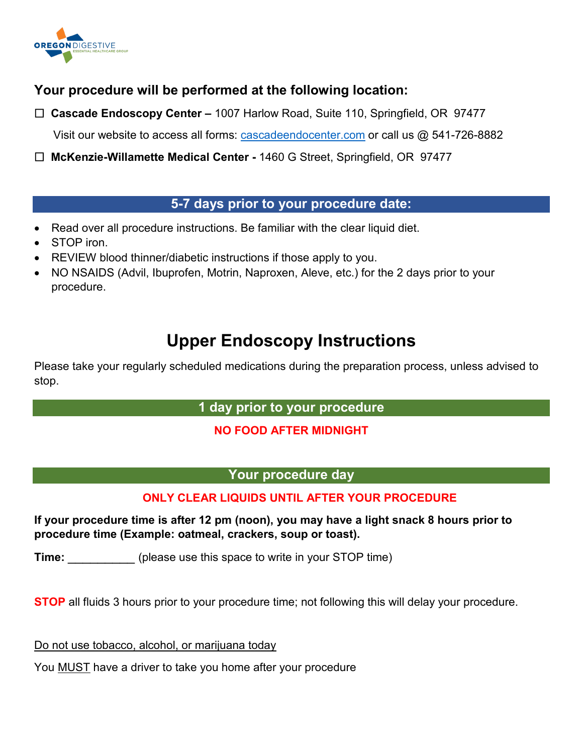

## **Your procedure will be performed at the following location:**

 **Cascade Endoscopy Center –** 1007 Harlow Road, Suite 110, Springfield, OR 97477

Visit our website to access all forms: [cascadeendocenter.com](https://cascadeendocenter.com/) or call us @ 541-726-8882

 **McKenzie-Willamette Medical Center -** 1460 G Street, Springfield, OR 97477

### **5-7 days prior to your procedure date:**

- Read over all procedure instructions. Be familiar with the clear liquid diet.
- STOP iron.
- REVIEW blood thinner/diabetic instructions if those apply to you.
- NO NSAIDS (Advil, Ibuprofen, Motrin, Naproxen, Aleve, etc.) for the 2 days prior to your procedure.

# **Upper Endoscopy Instructions**

Please take your regularly scheduled medications during the preparation process, unless advised to stop.

#### **1 day prior to your procedure**

#### **NO FOOD AFTER MIDNIGHT**

#### **Your procedure day**

#### **ONLY CLEAR LIQUIDS UNTIL AFTER YOUR PROCEDURE**

**If your procedure time is after 12 pm (noon), you may have a light snack 8 hours prior to procedure time (Example: oatmeal, crackers, soup or toast).**

**Time:** (please use this space to write in your STOP time)

**STOP** all fluids 3 hours prior to your procedure time; not following this will delay your procedure.

Do not use tobacco, alcohol, or marijuana today

You MUST have a driver to take you home after your procedure